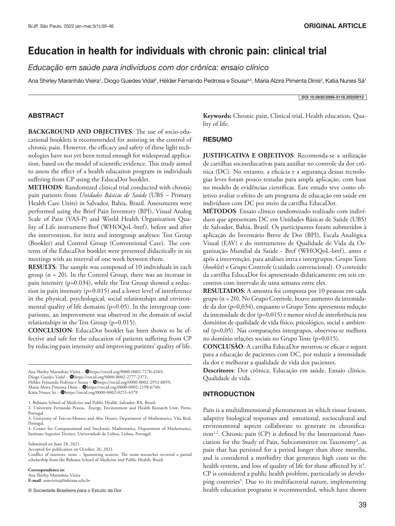# **Education in health for individuals with chronic pain: clinical trial**

*Educação em saúde para indivíduos com dor crônica: ensaio clínico*

Ana Shirley Maranhão Vieira<sup>1</sup>, Diogo Guedes Vidal<sup>2</sup>, Hélder Fernando Pedrosa e Sousa<sup>3,4</sup>, Maria Alzira Pimenta Dinis<sup>2</sup>, Katia Nunes Sá<sup>1</sup>

#### DOI 10.5935/2595-0118.20220013

# ABSTRACT

**BACKGROUND AND OBJECTIVES**: The use of socio-educational booklets is recommended for assisting in the control of chronic pain. However, the efficacy and safety of these light technologies have not yet been tested enough for widespread application, based on the model of scientific evidence. This study aimed to assess the effect of a health education program in individuals suffering from CP using the EducaDor booklet.

**METHODS**: Randomized clinical trial conducted with chronic pain patients from *Unidades Básicas de Saúde* (UBS – Primary Health Care Units) in Salvador, Bahia, Brazil. Assessments were performed using the Brief Pain Inventory (BPI), Visual Analog Scale of Pain (VAS-P) and World Health Organization Quality of Life instrument-Bref (WHOQoL-bref), before and after the intervention, for intra and intergroup analyses: Test Group (Booklet) and Control Group (Conventional Care). The contents of the EducaDor booklet were presented didactically in six meetings with an interval of one week between them.

**RESULTS**: The sample was composed of 10 individuals in each group (n = 20). In the Control Group, there was an increase in pain intensity (p=0.034), while the Test Group showed a reduction in pain intensity (p=0.015) and a lower level of interference in the physical, psychological, social relationships and environmental quality of life domains (p<0.05). In the intergroup comparisons, an improvement was observed in the domain of social relationships in the Test Group (p=0.015).

**CONCLUSION**: EducaDor booklet has been shown to be effective and safe for the education of patients suffering from CP by reducing pain intensity and improving patients' quality of life.

Ana Shirley Maranhão Vieira - @https://orcid.org/0000-0002-7170-4203; Diogo Guedes Vidal – @https://orcid.org/0000-0002-2777-2372; Hélder Fernando Pedrosa e Sousa - @https://orcid.org/0000-0002-2952-8859; Maria Alzira Pimenta Dinis - @https://orcid.org/0000-0002-2198-6740; Kátia Nunes Sá – @https://orcid.org/0000-0002-0255-4379

1. Bahiana School of Medicine and Public Health, Salvador, BA, Brazil.

2. University Fernando Pessoa, Energy, Environment and Health Research Unit, Porto, Portugal.

3. University of Trás-os-Montes and Alto Douro, Department of Mathematics, Vila Real, Portugal.

4. Center for Computational and Stochastic Mathematics, Department of Mathematics, Instituto Superior Técnico, Universidade de Lisboa, Lisboa, Portugal.

Submitted on June 28, 2021.

Accepted for publication on October, 26, 2021. Conflict of interests: none – Sponsoring sources: The main researcher received a partial scholarship from the Bahiana School of Medicine and Public Health, Brazil.

**Correspondence to**:

Ana Shirley Maranhão Vieira **E-mail**: asmvieira@bahiana.edu.br

© Sociedade Brasileira para o Estudo da Dor

**Keywords:** Chronic pain, Clinical trial, Health education, Quality of life.

# RESUMO

**JUSTIFICATIVA E OBJETIVOS**: Recomenda-se a utilização de cartilhas socioeducativas para auxiliar no controle da dor crônica (DC). No entanto, a eficácia e a segurança dessas tecnologias leves foram pouco testadas para ampla aplicação, com base no modelo de evidências científicas. Este estudo teve como objetivo avaliar o efeito de um programa de educação em saúde em indivíduos com DC por meio da cartilha EducaDor.

**MÉTODOS**: Ensaio clínico randomizado realizado com indivíduos que apresentam DC em Unidades Básicas de Saúde (UBS) de Salvador, Bahia, Brasil. Os participantes foram submetidos à aplicação do Inventário Breve de Dor (BPI), Escala Analógica Visual (EAV) e do instrumento de Qualidade de Vida da Organização Mundial da Saúde - Bref (WHOQoL-bref), antes e após a intervenção, para análises intra e intergrupos: Grupo Teste (*booklet*) e Grupo Controle (cuidado convencional). O conteúdo da cartilha EducaDor foi apresentado didaticamente em seis encontros com intervalo de uma semana entre eles.

**RESULTADOS**: A amostra foi composta por 10 pessoas em cada grupo (n = 20). No Grupo Controle, houve aumento da intensidade da dor (p=0,034), enquanto o Grupo Teste apresentou redução da intensidade de dor (p=0,015) e menor nível de interferência nos domínios de qualidade de vida físico, psicológico, social e ambiental (p<0,05). Nas comparações intergrupos, observou-se melhora no domínio relações sociais no Grupo Teste (p=0,015).

**CONCLUSÃO**: A cartilha EducaDor mostrou-se eficaz e segura para a educação de pacientes com DC, por reduzir a intensidade da dor e melhorar a qualidade de vida dos pacientes.

**Descritores**: Dor crônica, Educação em saúde, Ensaio clínico, Qualidade de vida.

# INTRODUCTION

Pain is a multidimensional phenomenon in which tissue lesions, adaptive biological responses and emotional, sociocultural and environmental aspects collaborate to generate its chronification<sup>1,2</sup>. Chronic pain (CP) is defined by the International Association for the Study of Pain, Subcommittee on Taxonomy<sup>3</sup>, as pain that has persisted for a period longer than three months, and is considered a morbidity that generates high costs to the health system, and loss of quality of life for those affected by it<sup>4</sup>. CP is considered a public health problem, particularly in developing countries<sup>5</sup>. Due to its multifactorial nature, implementing health education programs is recommended, which have shown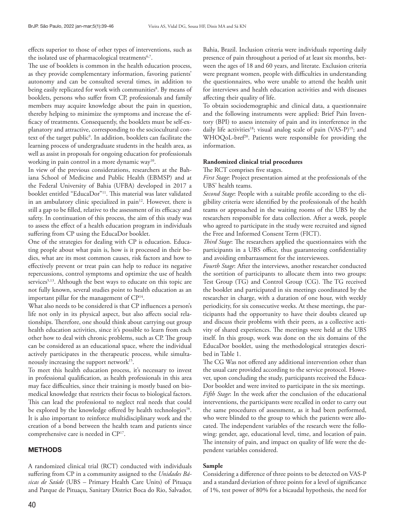effects superior to those of other types of interventions, such as the isolated use of pharmacological treatments<sup>6,7</sup>.

The use of booklets is common in the health education process, as they provide complementary information, favoring patients' autonomy and can be consulted several times, in addition to being easily replicated for work with communities<sup>8</sup>. By means of booklets, persons who suffer from CP, professionals and family members may acquire knowledge about the pain in question, thereby helping to minimize the symptoms and increase the efficacy of treatments. Consequently, the booklets must be self-explanatory and attractive, corresponding to the sociocultural context of the target public<sup>9</sup>. In addition, booklets can facilitate the learning process of undergraduate students in the health area, as well as assist in proposals for ongoing education for professionals working in pain control in a more dynamic way<sup>10</sup>.

In view of the previous considerations, researchers at the Bahiana School of Medicine and Public Health (EBMSP) and at the Federal University of Bahia (UFBA) developed in 2017 a booklet entitled "EducaDor"11. This material was later validated in an ambulatory clinic specialized in pain<sup>12</sup>. However, there is still a gap to be filled, relative to the assessment of its efficacy and safety. In continuation of this process, the aim of this study was to assess the effect of a health education program in individuals suffering from CP using the EducaDor booklet.

One of the strategies for dealing with CP is education. Educating people about what pain is, how is it processed in their bodies, what are its most common causes, risk factors and how to effectively prevent or treat pain can help to reduce its negative repercussions, control symptoms and optimize the use of health services<sup>5,13</sup>. Although the best ways to educate on this topic are not fully known, several studies point to health education as an important pillar for the management of CP14.

What also needs to be considered is that CP influences a person's life not only in its physical aspect, but also affects social relationships. Therefore, one should think about carrying out group health education activities, since it's possible to learn from each other how to deal with chronic problems, such as CP. The group can be considered as an educational space, where the individual actively participates in the therapeutic process, while simultaneously increasing the support network<sup>15</sup>.

To meet this health education process, it's necessary to invest in professional qualification, as health professionals in this area may face difficulties, since their training is mostly based on biomedical knowledge that restricts their focus to biological factors. This can lead the professional to neglect real needs that could be explored by the knowledge offered by health technologies<sup>16</sup>. It is also important to reinforce multidisciplinary work and the creation of a bond between the health team and patients since comprehensive care is needed in CP17.

## METHODS

A randomized clinical trial (RCT) conducted with individuals suffering from CP in a community assigned to the *Unidades Básicas de Saúde* (UBS – Primary Health Care Units) of Pituaçu and Parque de Pituaçu, Sanitary District Boca do Rio, Salvador,

Bahia, Brazil. Inclusion criteria were individuals reporting daily presence of pain throughout a period of at least six months, between the ages of 18 and 60 years, and literate. Exclusion criteria were pregnant women, people with difficulties in understanding the questionnaires, who were unable to attend the health unit for interviews and health education activities and with diseases affecting their quality of life.

To obtain sociodemographic and clinical data, a questionnaire and the following instruments were applied: Brief Pain Inventory (BPI) to assess intensity of pain and its interference in the daily life activities<sup>18</sup>; visual analog scale of pain (VAS-P)<sup>19</sup>; and WHOQoL-bref<sup>20</sup>. Patients were responsible for providing the information.

## **Randomized clinical trial procedures**

The RCT comprises five stages.

*First Stage*: Project presentation aimed at the professionals of the UBS' health teams.

*Second Stage*: People with a suitable profile according to the eligibility criteria were identified by the professionals of the health teams or approached in the waiting rooms of the UBS by the researchers responsible for data collection. After a week, people who agreed to participate in the study were recruited and signed the Free and Informed Consent Term (FICT).

*Third Stage*: The researchers applied the questionnaires with the participants in a UBS office, thus guaranteeing confidentiality and avoiding embarrassment for the interviewees.

*Fourth Stage*: After the interviews, another researcher conducted the sortition of participants to allocate them into two groups: Test Group (TG) and Control Group (CG). The TG received the booklet and participated in six meetings coordinated by the researcher in charge, with a duration of one hour, with weekly periodicity, for six consecutive weeks. At these meetings, the participants had the opportunity to have their doubts cleared up and discuss their problems with their peers, as a collective activity of shared experiences. The meetings were held at the UBS itself. In this group, work was done on the six domains of the EducaDor booklet, using the methodological strategies described in Table 1.

The CG Was not offered any additional intervention other than the usual care provided according to the service protocol. However, upon concluding the study, participants received the Educa-Dor booklet and were invited to participate in the six meetings. *Fifth Stage*: In the week after the conclusion of the educational interventions, the participants were recalled in order to carry out the same procedures of assessment, as it had been performed, who were blinded to the group to which the patients were allocated. The independent variables of the research were the following: gender, age, educational level, time, and location of pain. The intensity of pain, and impact on quality of life were the dependent variables considered.

#### **Sample**

Considering a difference of three points to be detected on VAS-P and a standard deviation of three points for a level of significance of 1%, test power of 80% for a bicaudal hypothesis, the need for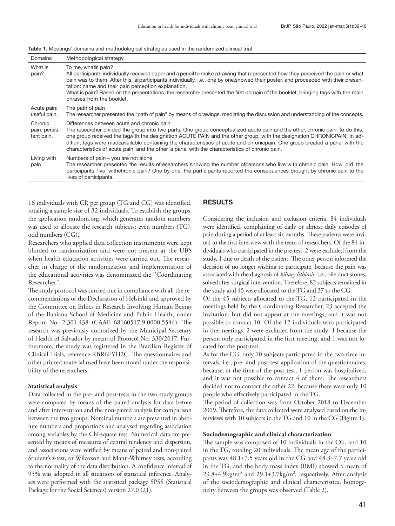|  |  | <b>Table 1.</b> Meetings' domains and methodological strategies used in the randomized clinical trial |
|--|--|-------------------------------------------------------------------------------------------------------|
|  |  |                                                                                                       |

| Domains                                | Methodological strategy                                                                                                                                                                                                                                                                                                                                                                                                                                                                                                                  |
|----------------------------------------|------------------------------------------------------------------------------------------------------------------------------------------------------------------------------------------------------------------------------------------------------------------------------------------------------------------------------------------------------------------------------------------------------------------------------------------------------------------------------------------------------------------------------------------|
| What is<br>pain?                       | To me, whatis pain?<br>All participants individually received paper and a pencil to make adrawing that represented how they perceived the pain or what<br>pain was to them. After this, allparticipants individually, i.e., one by one, showed their poster, and proceeded with their presen-<br>tation: name and their pain perception explanation.<br>What is pain? Based on the presentations, the researcher presented the first domain of the booklet, bringing tags with the main<br>phrases from the booklet.                     |
| Acute pain:<br>useful pain.            | The path of pain<br>The researcher presented the "path of pain" by means of drawings, mediating the discussion and understanding of the concepts.                                                                                                                                                                                                                                                                                                                                                                                        |
| Chronic<br>pain: persis-<br>tent pain. | Differences between acute and chronic pain<br>The researcher divided the group into two parts. One group conceptualized acute pain and the other, chronic pain. To do this,<br>one group received the tagwith the designation ACUTE PAIN and the other group, with the designation CHRONICPAIN. In ad-<br>dition, tags were madeavailable containing the characteristics of acute and chronicpain. One group created a panel with the<br>characteristics of acute pain, and the other, a panel with the characteristics of chronic pain. |
| Living with<br>pain                    | Numbers of pain – you are not alone<br>The researcher presented the results ofresearchers showing the number ofpersons who live with chronic pain. How did the<br>participants live withchronic pain? One by one, the participants reported the consequences brought by chronic pain to the<br>lives of participants.                                                                                                                                                                                                                    |

16 individuals with CP, per group (TG and CG) was identified, totaling a sample size of 32 individuals. To establish the groups, the application random.org, which generates random numbers, was used to allocate the research subjects: even numbers (TG), odd numbers (CG).

Researchers who applied data collection instruments were kept blinded to randomization and were not present at the UBS when health education activities were carried out. The researcher in charge of the randomization and implementation of the educational activities was denominated the ''Coordinating Researcher''.

The study protocol was carried out in compliance with all the recommendations of the Declaration of Helsinki and approved by the Committee on Ethics in Research Involving Human Beings of the Bahiana School of Medicine and Public Health, under Report No. 2.301.438 (CAAE 68160517.9.0000.5544). The research was previously authorized by the Municipal Secretary of Health of Salvador by means of Protocol No. 330/2017. Furthermore, the study was registered in the Brazilian Register of Clinical Trials, reference RBR6FYH2C. The questionnaires and other printed material used have been stored under the responsibility of the researchers.

# **Statistical analysis**

Data collected in the pre- and post-tests in the two study groups were compared by means of the paired analysis for data before and after intervention and the non-paired analysis for comparison between the two groups. Nominal numbers are presented in absolute numbers and proportions and analysed regarding association among variables by the Chi-square test. Numerical data are presented by means of measures of central tendency and dispersion, and associations were verified by means of paired and non-paired Student's *t*-test, or Wilcoxon and Mann-Whitney tests, according to the normality of the data distribution. A confidence interval of 95% was adopted in all situations of statistical inference. Analyses were performed with the statistical package SPSS (Statistical Package for the Social Sciences) version 27.0 (21).

# RESULTS

Considering the inclusion and exclusion criteria, 84 individuals were identified, complaining of daily or almost daily episodes of pain during a period of at least six months. These patients were invited to the first interview with the team of researchers. Of the 84 individuals who participated in the pre-test, 2 were excluded from the study, 1 due to death of the patient. The other person informed the decision of no longer wishing to participate, because the pain was associated with the diagnosis of *biliary lithiasis*, i.e., bile duct stones, solved after surgical intervention. Therefore, 82 subjects remained in the study and 45 were allocated to the TG and 37 to the CG.

Of the 45 subjects allocated to the TG, 12 participated in the meetings held by the Coordinating Researcher, 23 accepted the invitation, but did not appear at the meetings, and it was not possible to contact 10. Of the 12 individuals who participated in the meetings, 2 were excluded from the study: 1 because the person only participated in the first meeting, and 1 was not located for the post-test.

As for the CG, only 10 subjects participated in the two-time intervals, i.e., pre- and post-test application of the questionnaires, because, at the time of the post-test, 1 person was hospitalized, and it was not possible to contact 4 of them. The researchers decided not to contact the other 22, because there were only 10 people who effectively participated in the TG.

The period of collection was from October 2018 to December 2019. Therefore, the data collected were analysed based on the interviews with 10 subjects in the TG and 10 in the CG (Figure 1).

#### **Sociodemographic and clinical characterization**

The sample was composed of 10 individuals in the CG, and 10 in the TG, totaling 20 individuals. The mean age of the participants was 48.1±7.5 years old in the CG and 48.3±7.7 years old in the TG; and the body mass index (BMI) showed a mean of  $29.8\pm4.9\text{kg/m}^2$  and  $29.1\pm3.7\text{kg/m}^2$ , respectively. After analysis of the sociodemographic and clinical characteristics, homogeneity between the groups was observed (Table 2).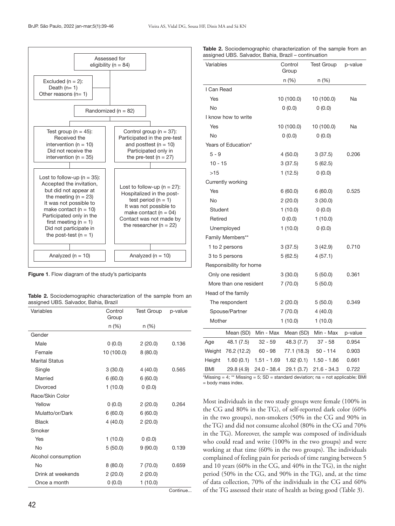

Figure 1. Flow diagram of the study's participants

Table 2. Sociodemographic characterization of the sample from an assigned UBS. Salvador, Bahia, Brazil

| Variables             | Control<br>Group | <b>Test Group</b> | p-value  |
|-----------------------|------------------|-------------------|----------|
|                       | n (%)            | $n (\%)$          |          |
| Gender                |                  |                   |          |
| Male                  | (0.0)            | 2(20.0)           | 0.136    |
| Female                | 10 (100.0)       | 8(80.0)           |          |
| <b>Marital Status</b> |                  |                   |          |
| Single                | 3(30.0)          | 4(40.0)           | 0.565    |
| Married               | 6(60.0)          | 6(60.0)           |          |
| <b>Divorced</b>       | 1(10.0)          | 0(0.0)            |          |
| Race/Skin Color       |                  |                   |          |
| Yellow                | 0(0.0)           | 2(20.0)           | 0.264    |
| Mulatto/or/Dark       | 6(60.0)          | 6(60.0)           |          |
| <b>Black</b>          | 4(40.0)          | 2(20.0)           |          |
| Smoker                |                  |                   |          |
| Yes                   | 1(10.0)          | 0(0.0)            |          |
| No                    | 5(50.0)          | 9(90.0)           | 0.139    |
| Alcohol consumption   |                  |                   |          |
| No                    | 8(80.0)          | 7(70.0)           | 0.659    |
| Drink at weekends     | 2(20.0)          | 2(20.0)           |          |
| Once a month          | 0(0.0)           | 1(10.0)           |          |
|                       |                  |                   | Continue |

| <b>Table 2.</b> Sociodemographic characterization of the sample from an |  |  |
|-------------------------------------------------------------------------|--|--|
| assigned UBS. Salvador, Bahia, Brazil – continuation                    |  |  |

| Variables                                                                      | Control<br>Group                            | <b>Test Group</b> | p-value                      |
|--------------------------------------------------------------------------------|---------------------------------------------|-------------------|------------------------------|
|                                                                                | n (%)                                       | $n (\%)$          |                              |
| I Can Read                                                                     |                                             |                   |                              |
| Yes                                                                            | 10 (100.0)                                  | 10 (100.0)        | Na                           |
| No                                                                             | 0(0.0)                                      | 0(0.0)            |                              |
| I know how to write                                                            |                                             |                   |                              |
| Yes                                                                            | 10 (100.0)                                  | 10 (100.0)        | Na                           |
| No                                                                             | 0(0.0)                                      | 0(0.0)            |                              |
| Years of Education*                                                            |                                             |                   |                              |
| $5 - 9$                                                                        | 4(50.0)                                     | 3(37.5)           | 0.206                        |
| $10 - 15$                                                                      | 3(37.5)                                     | 5(62.5)           |                              |
| >15                                                                            | 1(12.5)                                     | 0(0.0)            |                              |
| Currently working                                                              |                                             |                   |                              |
| Yes                                                                            | 6(60.0)                                     | 6(60.0)           | 0.525                        |
| No                                                                             | 2(20.0)                                     | 3(30.0)           |                              |
| <b>Student</b>                                                                 | 1(10.0)                                     | 0(0.0)            |                              |
| Retired                                                                        | (0.0)                                       | 1(10.0)           |                              |
| Unemployed                                                                     | 1(10.0)                                     | 0(0.0)            |                              |
| Family Members**                                                               |                                             |                   |                              |
| 1 to 2 persons                                                                 | 3(37.5)                                     | 3(42.9)           | 0.710                        |
| 3 to 5 persons                                                                 | 5(62.5)                                     | 4(57.1)           |                              |
| Responsibility for home                                                        |                                             |                   |                              |
| Only one resident                                                              | 3(30.0)                                     | 5(50.0)           | 0.361                        |
| More than one resident                                                         | 7(70.0)                                     | 5(50.0)           |                              |
| Head of the family                                                             |                                             |                   |                              |
| The respondent                                                                 | 2(20.0)                                     | 5(50.0)           | 0.349                        |
| Spouse/Partner                                                                 | 7(70.0)                                     | 4(40.0)           |                              |
| Mother                                                                         | 1(10.0)                                     | 1(10.0)           |                              |
| Min - Max<br>Mean (SD)                                                         | Mean (SD)                                   | Min - Max         | p-value                      |
| $32 - 59$<br>48.1 (7.5)<br>Age                                                 | 48.3 (7.7)                                  | $37 - 58$         | 0.954                        |
| Weight<br>76.2 (12.2)<br>$60 - 98$                                             | 77.1 (18.3)                                 | $50 - 114$        | 0.903                        |
| 1.60(0.1)<br>Height<br>1.51 - 1.69                                             | 1.62(0.1)                                   | $1.50 - 1.86$     | 0.661                        |
| <b>BMI</b><br>29.8 (4.9)<br>24.0 - 38.4<br>$*$ Macaim<br>$4.52$ Mission $5.00$ | 29.1 (3.7)<br>ومرادمه المأريمام امروام ومفو | $21.6 - 34.3$     | 0.722<br>net englischler DMI |

\*Missing = 4; \*\* Missing = 5; SD = standard deviation; na = not applicable; BMI = body mass index.

Most individuals in the two study groups were female (100% in the CG and 80% in the TG), of self-reported dark color (60% in the two groups), non-smokers (50% in the CG and 90% in the TG) and did not consume alcohol (80% in the CG and 70% in the TG). Moreover, the sample was composed of individuals who could read and write (100% in the two groups) and were working at that time (60% in the two groups). The individuals complained of feeling pain for periods of time ranging between 5 and 10 years (60% in the CG, and 40% in the TG), in the night period (50% in the CG, and 90% in the TG), and, at the time of data collection, 70% of the individuals in the CG and 60% of the TG assessed their state of health as being good (Table 3).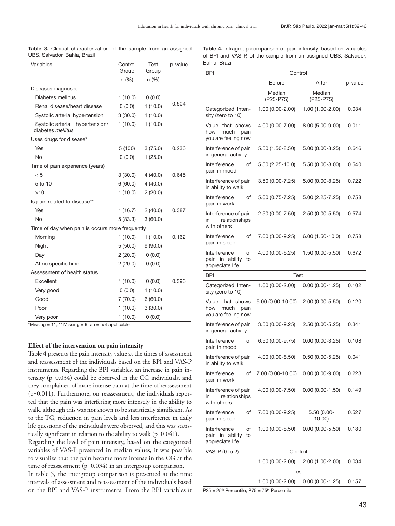Before **After** p-value

1.00 (0.00-2.00) 1.00 (1.00-2.00) 0.034

Median (P25-P75)

| Variables                                            | Control<br>Group | Test<br>Group | p-value |
|------------------------------------------------------|------------------|---------------|---------|
|                                                      | n (%)            | n (%)         |         |
| Diseases diagnosed                                   |                  |               |         |
| Diabetes mellitus                                    | 1(10.0)          | (0.0)         |         |
| Renal disease/heart disease                          | (0.0)            | 1(10.0)       | 0.504   |
| Systolic arterial hypertension                       | 3(30.0)          | 1(10.0)       |         |
| Systolic arterial hypertension/<br>diabetes mellitus | 1(10.0)          | 1(10.0)       |         |
| Uses drugs for disease*                              |                  |               |         |
| Yes                                                  | 5(100)           | 3(75.0)       | 0.236   |
| <b>No</b>                                            | 0(0.0)           | 1(25.0)       |         |
| Time of pain experience (years)                      |                  |               |         |
| < 5                                                  | 3(30.0)          | 4(40.0)       | 0.645   |
| 5 to 10                                              | 6(60.0)          | 4(40.0)       |         |
| >10                                                  | 1(10.0)          | 2(20.0)       |         |
| Is pain related to disease**                         |                  |               |         |
| Yes                                                  | 1(16.7)          | 2(40.0)       | 0.387   |
| <b>No</b>                                            | 5(83.3)          | 3(60.0)       |         |
| Time of day when pain is occurs more frequently      |                  |               |         |
| Morning                                              | 1(10.0)          | 1(10.0)       | 0.162   |
| Night                                                | 5(50.0)          | 9(90.0)       |         |
| Day                                                  | 2(20.0)          | (0.0)         |         |
| At no specific time                                  | 2(20.0)          | 0(0.0)        |         |
| Assessment of health status                          |                  |               |         |
| Excellent                                            | 1(10.0)          | (0.0)         | 0.396   |
| Very good                                            | (0.0)            | 1(10.0)       |         |
| Good                                                 | 7(70.0)          | 6(60.0)       |         |
| Poor                                                 | 1(10.0)          | 3(30.0)       |         |
| Very poor                                            | 1(10.0)          | 0(0.0)        |         |

Table 3. Clinical characterization of the sample from an assigned UBS. Salvador, Bahia, Brazil

Table 4. Intragroup comparison of pain intensity, based on variables of BPI and VAS-P, of the sample from an assigned UBS. Salvador, Bahia, Brazil

> Median (P25-P75)

BPI Control

Categorized Inten-

| sity (zero to 10)                                              |                     |                                      |       |  |
|----------------------------------------------------------------|---------------------|--------------------------------------|-------|--|
| Value that shows<br>much<br>how<br>pain<br>you are feeling now | 4.00 (0.00-7.00)    | 8.00 (5.00-9.00)                     | 0.011 |  |
| Interference of pain<br>in general activity                    | $5.50(1.50 - 8.50)$ | $5.00(0.00-8.25)$                    | 0.646 |  |
| Interference<br>of<br>pain in mood                             | 5.50 (2.25-10.0)    | $5.50(0.00-8.00)$                    | 0.540 |  |
| Interference of pain<br>in ability to walk                     | $3.50(0.00-7.25)$   | $5.00(0.00-8.25)$                    | 0.722 |  |
| Interference<br>of<br>pain in work                             | $5.00(0.75 - 7.25)$ | $5.00(2.25 - 7.25)$                  | 0.758 |  |
| Interference of pain<br>relationships<br>in<br>with others     | 2.50 (0.00-7.50)    | $2.50(0.00-5.50)$                    | 0.574 |  |
| Interference<br>of<br>pain in sleep                            | 7.00 (3.00-9.25)    | $6.00(1.50-10.0)$                    | 0.758 |  |
| Interference<br>of<br>pain in ability<br>to<br>appreciate life | 4.00 (0.00-6.25)    | $1.50(0.00-5.50)$                    | 0.672 |  |
| <b>BPI</b>                                                     | Test                |                                      |       |  |
| Categorized Inten-<br>sity (zero to 10)                        | 1.00 (0.00-2.00)    | $0.00(0.00-1.25)$                    | 0.102 |  |
| Value that shows<br>much<br>pain<br>how<br>you are feeling now | 5.00 (0.00-10.00)   | $2.00(0.00-5.50)$                    | 0.120 |  |
| Interference of pain<br>in general activity                    | 3.50 (0.00-9.25)    | $2.50(0.00-5.25)$                    | 0.341 |  |
| Interference<br>of<br>pain in mood                             | $6.50(0.00-9.75)$   | $0.00(0.00-3.25)$                    | 0.108 |  |
| Interference of pain<br>in ability to walk                     | 4.00 (0.00-8.50)    | $0.50(0.00-5.25)$                    | 0.041 |  |
| Interference<br>of<br>pain in work                             | 7.00 (0.00-10.00)   | $0.00(0.00-9.00)$                    | 0.223 |  |
| Interference of pain<br>relationships<br>in<br>with others     | 4.00 (0.00-7.50)    | $0.00(0.00-1.50)$                    | 0.149 |  |
| Interference<br>οf<br>pain in sleep                            | 7.00 (0.00-9.25)    | 5.50 (0.00-<br>10.00                 | 0.527 |  |
| Interference<br>of<br>pain in ability<br>to<br>appreciate life | $1.00(0.00 - 8.50)$ | $0.00(0.00-5.50)$                    | 0.180 |  |
| VAS-P (0 to 2)                                                 | Control             |                                      |       |  |
|                                                                | $1.00(0.00-2.00)$   | 2.00 (1.00-2.00)                     | 0.034 |  |
|                                                                | Test                |                                      |       |  |
|                                                                |                     | $1.00(0.00-2.00)$ 0.00 $(0.00-1.25)$ | 0.157 |  |

\*Missing =  $11$ ; \*\* Missing = 9; an = not applicable

#### **Effect of the intervention on pain intensity**

Table 4 presents the pain intensity value at the times of assessment and reassessment of the individuals based on the BPI and VAS-P instruments. Regarding the BPI variables, an increase in pain intensity (p=0.034) could be observed in the CG individuals, and they complained of more intense pain at the time of reassessment (p=0.011). Furthermore, on reassessment, the individuals reported that the pain was interfering more intensely in the ability to walk, although this was not shown to be statistically significant. As to the TG, reduction in pain levels and less interference in daily life questions of the individuals were observed, and this was statistically significant in relation to the ability to walk (p=0.041).

Regarding the level of pain intensity, based on the categorized variables of VAS-P presented in median values, it was possible to visualize that the pain became more intense in the CG at the time of reassessment (p=0.034) in an intergroup comparison.

In table 5, the intergroup comparison is presented at the time intervals of assessment and reassessment of the individuals based on the BPI and VAS-P instruments. From the BPI variables it

 $P25 = 25<sup>th</sup>$  Percentile;  $P75 = 75<sup>th</sup>$  Percentile.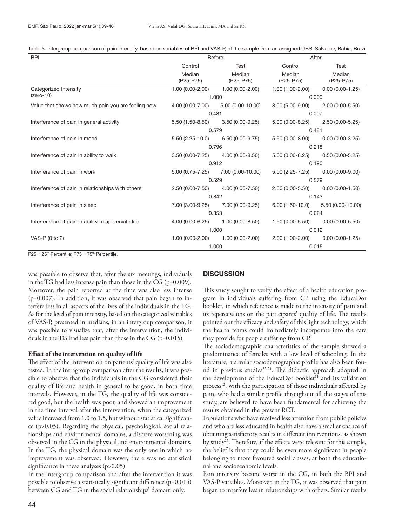| Table 5. Intergroup comparison of pain intensity, based on variables of BPI and VAS-P, of the sample from an assigned UBS. Salvador, Bahia, Brazil |  |  |  |  |
|----------------------------------------------------------------------------------------------------------------------------------------------------|--|--|--|--|
|----------------------------------------------------------------------------------------------------------------------------------------------------|--|--|--|--|

| <b>BPI</b>                                         | <b>Before</b>       |                                      | After                               |                                      |
|----------------------------------------------------|---------------------|--------------------------------------|-------------------------------------|--------------------------------------|
|                                                    | Control             | Test                                 | Control                             | Test                                 |
|                                                    | Median<br>(P25-P75) | Median<br>(P25-P75)                  | Median<br>(P25-P75)                 | Median<br>(P25-P75)                  |
| Categorized Intensity                              | 1.00 (0.00-2.00)    | $1.00(0.00-2.00)$                    | 1.00 (1.00-2.00)                    | $0.00(0.00-1.25)$                    |
| $(zero-10)$                                        |                     | 1.000                                | 0.009                               |                                      |
| Value that shows how much pain you are feeling now | 4.00 (0.00-7.00)    | 5.00 (0.00-10.00)                    | 8.00 (5.00-9.00)                    | $2.00(0.00 - 5.50)$                  |
|                                                    | 0.481               |                                      | 0.007                               |                                      |
| Interference of pain in general activity           |                     | $5.50(1.50-8.50)$ $3.50(0.00-9.25)$  | $5.00(0.00-8.25)$ $2.50(0.00-5.25)$ |                                      |
|                                                    | 0.579               |                                      | 0.481                               |                                      |
| Interference of pain in mood                       |                     | $5.50(2.25-10.0)$ 6.50 (0.00-9.75)   | $5.50(0.00-8.00)$ $0.00(0.00-3.25)$ |                                      |
|                                                    |                     | 0.796                                | 0.218                               |                                      |
| Interference of pain in ability to walk            |                     | $3.50(0.00-7.25)$ $4.00(0.00-8.50)$  | 5.00 (0.00-8.25)                    | $0.50(0.00-5.25)$                    |
|                                                    |                     | 0.912                                | 0.190                               |                                      |
| Interference of pain in work                       |                     | $5.00(0.75-7.25)$ $7.00(0.00-10.00)$ | $5.00(2.25-7.25)$ $0.00(0.00-9.00)$ |                                      |
|                                                    |                     | 0.529                                | 0.579                               |                                      |
| Interference of pain in relationships with others  | $2.50(0.00 - 7.50)$ | 4.00 (0.00-7.50)                     | 2.50 (0.00-5.50)                    | $0.00(0.00-1.50)$                    |
|                                                    | 0.842               |                                      | 0.143                               |                                      |
| Interference of pain in sleep                      |                     | 7.00 (3.00-9.25) 7.00 (0.00-9.25)    |                                     | $6.00(1.50-10.0)$ $5.50(0.00-10.00)$ |
|                                                    | 0.853               |                                      | 0.684                               |                                      |
| Interference of pain in ability to appreciate life |                     | $4.00(0.00-6.25)$ $1.00(0.00-8.50)$  | $1.50(0.00-5.50)$ $0.00(0.00-5.50)$ |                                      |
|                                                    | 1.000               |                                      | 0.912                               |                                      |
| VAS-P (0 to 2)                                     | $1.00(0.00-2.00)$   | 1.00 (0.00-2.00)                     | 2.00 (1.00-2.00)                    | $0.00(0.00-1.25)$                    |
|                                                    |                     | 1.000                                | 0.015                               |                                      |

 $P25 = 25<sup>th</sup>$  Percentile;  $P75 = 75<sup>th</sup>$  Percentile.

was possible to observe that, after the six meetings, individuals in the TG had less intense pain than those in the CG (p=0.009). Moreover, the pain reported at the time was also less intense (p=0.007). In addition, it was observed that pain began to interfere less in all aspects of the lives of the individuals in the TG. As for the level of pain intensity, based on the categorized variables of VAS-P, presented in medians, in an intergroup comparison, it was possible to visualize that, after the intervention, the individuals in the TG had less pain than those in the CG (p=0.015).

## **Effect of the intervention on quality of life**

The effect of the intervention on patients' quality of life was also tested. In the intragroup comparison after the results, it was possible to observe that the individuals in the CG considered their quality of life and health in general to be good, in both time intervals. However, in the TG, the quality of life was considered good, but the health was poor, and showed an improvement in the time interval after the intervention, when the categorized value increased from 1.0 to 1.5, but without statistical significance (p>0.05). Regarding the physical, psychological, social relationships and environmental domains, a discrete worsening was observed in the CG in the physical and environmental domains. In the TG, the physical domain was the only one in which no improvement was observed. However, there was no statistical significance in these analyses (p>0.05).

In the intergroup comparison and after the intervention it was possible to observe a statistically significant difference (p=0.015) between CG and TG in the social relationships' domain only.

# **DISCUSSION**

This study sought to verify the effect of a health education program in individuals suffering from CP using the EducaDor booklet, in which reference is made to the intensity of pain and its repercussions on the participants' quality of life. The results pointed out the efficacy and safety of this light technology, which the health teams could immediately incorporate into the care they provide for people suffering from CP.

The sociodemographic characteristics of the sample showed a predominance of females with a low level of schooling. In the literature, a similar sociodemographic profile has also been found in previous studies<sup>22-24</sup>. The didactic approach adopted in the development of the EducaDor booklet<sup>11</sup> and its validation process<sup>12</sup>, with the participation of those individuals affected by pain, who had a similar profile throughout all the stages of this study, are believed to have been fundamental for achieving the results obtained in the present RCT.

Populations who have received less attention from public policies and who are less educated in health also have a smaller chance of obtaining satisfactory results in different interventions, as shown by study<sup>25</sup>. Therefore, if the effects were relevant for this sample, the belief is that they could be even more significant in people belonging to more favoured social classes, at both the educational and socioeconomic levels.

Pain intensity became worse in the CG, in both the BPI and VAS-P variables. Moreover, in the TG, it was observed that pain began to interfere less in relationships with others. Similar results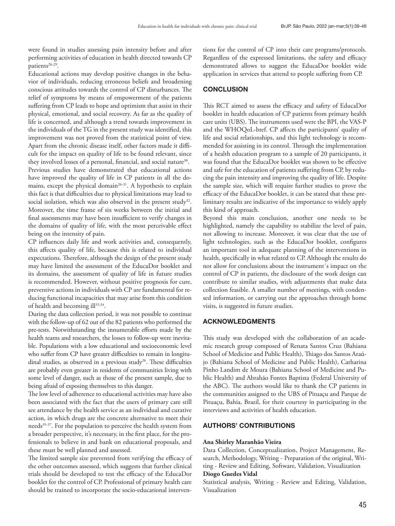were found in studies assessing pain intensity before and after performing activities of education in health directed towards CP patients<sup>26-29</sup>.

Educational actions may develop positive changes in the behavior of individuals, reducing erroneous beliefs and broadening conscious attitudes towards the control of CP disturbances. The relief of symptoms by means of empowerment of the patients suffering from CP leads to hope and optimism that assist in their physical, emotional, and social recovery. As far as the quality of life is concerned, and although a trend towards improvement in the individuals of the TG in the present study was identified, this improvement was not proved from the statistical point of view. Apart from the chronic disease itself, other factors made it difficult for the impact on quality of life to be found relevant, since they involved losses of a personal, financial, and social nature<sup>30</sup>. Previous studies have demonstrated that educational actions have improved the quality of life in CP patients in all the domains, except the physical domain<sup>26-31</sup>. A hypothesis to explain this fact is that difficulties due to physical limitations may lead to social isolation, which was also observed in the present study<sup>32</sup>. Moreover, the time frame of six weeks between the initial and final assessments may have been insufficient to verify changes in the domains of quality of life, with the most perceivable effect being on the intensity of pain.

CP influences daily life and work activities and, consequently, this affects quality of life, because this is related to individual expectations. Therefore, although the design of the present study may have limited the assessment of the EducaDor booklet and its domains, the assessment of quality of life in future studies is recommended. However, without positive prognosis for cure, preventive actions in individuals with CP are fundamental for reducing functional incapacities that may arise from this condition of health and becoming ill<sup>33,34</sup>.

During the data collection period, it was not possible to continue with the follow-up of 62 out of the 82 patients who performed the pre-tests. Notwithstanding the innumerable efforts made by the health teams and researchers, the losses to follow-up were inevitable. Populations with a low educational and socioeconomic level who suffer from CP have greater difficulties to remain in longitudinal studies, as observed in a previous study<sup>26</sup>. These difficulties are probably even greater in residents of communities living with some level of danger, such as those of the present sample, due to being afraid of exposing themselves to this danger.

The low level of adherence to educational activities may have also been associated with the fact that the users of primary care still see attendance by the health service as an individual and curative action, in which drugs are the concrete alternative to meet their needs<sup>35-37</sup>. For the population to perceive the health system from a broader perspective, it's necessary, in the first place, for the professionals to believe in and bank on educational proposals, and these must be well planned and assessed.

The limited sample size prevented from verifying the efficacy of the other outcomes assessed, which suggests that further clinical trials should be developed to test the efficacy of the EducaDor booklet for the control of CP. Professional of primary health care should be trained to incorporate the socio-educational interven-

tions for the control of CP into their care programs/protocols. Regardless of the expressed limitations, the safety and efficacy demonstrated allows to suggest the EducaDor booklet wide application in services that attend to people suffering from CP.

# **CONCLUSION**

This RCT aimed to assess the efficacy and safety of EducaDor booklet in health education of CP patients from primary health care units (UBS). The instruments used were the BPI, the VAS-P and the WHOQoL-bref. CP affects the participants' quality of life and social relationships, and this light technology is recommended for assisting in its control. Through the implementation of a health education program to a sample of 20 participants, it was found that the EducaDor booklet was shown to be effective and safe for the education of patients suffering from CP, by reducing the pain intensity and improving the quality of life. Despite the sample size, which will require further studies to prove the efficacy of the EducaDor booklet, it can be stated that these preliminary results are indicative of the importance to widely apply this kind of approach.

Beyond this main conclusion, another one needs to be highlighted, namely the capability to stabilize the level of pain, not allowing to increase. Moreover, it was clear that the use of light technologies, such as the EducaDor booklet, configures an important tool in adequate planning of the interventions in health, specifically in what related to CP. Although the results do not allow for conclusions about the instrument´s impact on the control of CP in patients, the disclosure of the work design can contribute to similar studies, with adjustments that make data collection feasible. A smaller number of meetings, with condensed information, or carrying out the approaches through home visits, is suggested in future studies.

## ACKNOWLEDGMENTS

This study was developed with the collaboration of an academic research group composed of Renata Santos Cruz (Bahiana School of Medicine and Public Health), Thiago dos Santos Araújo (Bahiana School of Medicine and Public Health), Catharina Pinho Landim de Moura (Bahiana School of Medicine and Public Health) and Abrahão Fontes Baptista (Federal University of the ABC). The authors would like to thank the CP patients in the communities assigned to the UBS of Pituaçu and Parque de Pituaçu, Bahia, Brazil, for their courtesy in participating in the interviews and activities of health education.

# AUTHORS' CONTRIBUTIONS

#### **Ana Shirley Maranhão Vieira**

Data Collection, Conceptualization, Project Management, Research, Methodology, Writing - Preparation of the original, Writing - Review and Editing, Software, Validation, Visualization

## **Diogo Guedes Vidal**

Statistical analysis, Writing - Review and Editing, Validation, Visualization